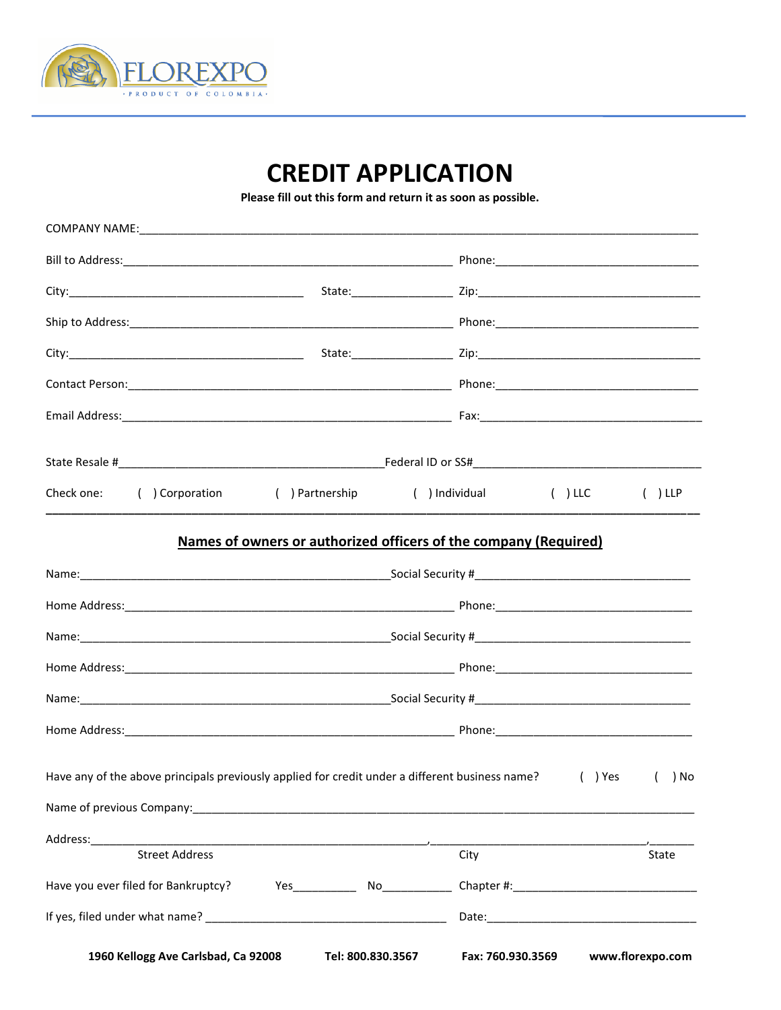

## **CREDIT APPLICATION**

Please fill out this form and return it as soon as possible.

| Check one: () Corporation                                                                                                                                                                                                      | () Partnership () Individual () LLC                              |                                                      |  | $( )$ LLP |
|--------------------------------------------------------------------------------------------------------------------------------------------------------------------------------------------------------------------------------|------------------------------------------------------------------|------------------------------------------------------|--|-----------|
|                                                                                                                                                                                                                                | Names of owners or authorized officers of the company (Required) |                                                      |  |           |
|                                                                                                                                                                                                                                |                                                                  |                                                      |  |           |
|                                                                                                                                                                                                                                |                                                                  |                                                      |  |           |
|                                                                                                                                                                                                                                |                                                                  |                                                      |  |           |
|                                                                                                                                                                                                                                |                                                                  |                                                      |  |           |
|                                                                                                                                                                                                                                |                                                                  |                                                      |  |           |
|                                                                                                                                                                                                                                |                                                                  |                                                      |  |           |
| Have any of the above principals previously applied for credit under a different business name? (1) Yes                                                                                                                        |                                                                  |                                                      |  | ( ) No    |
| Name of previous Company: Name of the Company of the Company of the Company of the Company of the Company of the Company of the Company of the Company of the Company of the Company of the Company of the Company of the Comp |                                                                  |                                                      |  |           |
| Address: Andreas Address:                                                                                                                                                                                                      |                                                                  |                                                      |  |           |
| <b>Street Address</b>                                                                                                                                                                                                          |                                                                  | City                                                 |  | State     |
|                                                                                                                                                                                                                                |                                                                  |                                                      |  |           |
|                                                                                                                                                                                                                                |                                                                  |                                                      |  |           |
| 1960 Kellogg Ave Carlsbad, Ca 92008                                                                                                                                                                                            |                                                                  | Tel: 800.830.3567 Fax: 760.930.3569 www.florexpo.com |  |           |